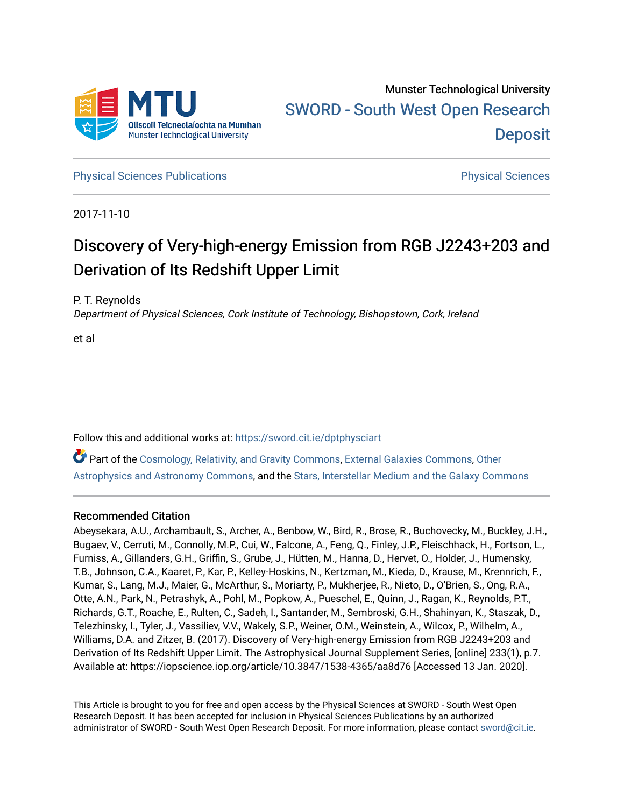

**[Physical Sciences Publications](https://sword.cit.ie/dptphysciart) Provide Access Publications Physical Sciences** Physical Sciences

2017-11-10

# Discovery of Very-high-energy Emission from RGB J2243+203 and Derivation of Its Redshift Upper Limit

P. T. Reynolds

Department of Physical Sciences, Cork Institute of Technology, Bishopstown, Cork, Ireland

et al

Follow this and additional works at: [https://sword.cit.ie/dptphysciart](https://sword.cit.ie/dptphysciart?utm_source=sword.cit.ie%2Fdptphysciart%2F113&utm_medium=PDF&utm_campaign=PDFCoverPages)

Part of the [Cosmology, Relativity, and Gravity Commons,](http://network.bepress.com/hgg/discipline/129?utm_source=sword.cit.ie%2Fdptphysciart%2F113&utm_medium=PDF&utm_campaign=PDFCoverPages) [External Galaxies Commons](http://network.bepress.com/hgg/discipline/128?utm_source=sword.cit.ie%2Fdptphysciart%2F113&utm_medium=PDF&utm_campaign=PDFCoverPages), [Other](http://network.bepress.com/hgg/discipline/130?utm_source=sword.cit.ie%2Fdptphysciart%2F113&utm_medium=PDF&utm_campaign=PDFCoverPages) [Astrophysics and Astronomy Commons,](http://network.bepress.com/hgg/discipline/130?utm_source=sword.cit.ie%2Fdptphysciart%2F113&utm_medium=PDF&utm_campaign=PDFCoverPages) and the [Stars, Interstellar Medium and the Galaxy Commons](http://network.bepress.com/hgg/discipline/127?utm_source=sword.cit.ie%2Fdptphysciart%2F113&utm_medium=PDF&utm_campaign=PDFCoverPages)

## Recommended Citation

Abeysekara, A.U., Archambault, S., Archer, A., Benbow, W., Bird, R., Brose, R., Buchovecky, M., Buckley, J.H., Bugaev, V., Cerruti, M., Connolly, M.P., Cui, W., Falcone, A., Feng, Q., Finley, J.P., Fleischhack, H., Fortson, L., Furniss, A., Gillanders, G.H., Griffin, S., Grube, J., Hütten, M., Hanna, D., Hervet, O., Holder, J., Humensky, T.B., Johnson, C.A., Kaaret, P., Kar, P., Kelley-Hoskins, N., Kertzman, M., Kieda, D., Krause, M., Krennrich, F., Kumar, S., Lang, M.J., Maier, G., McArthur, S., Moriarty, P., Mukherjee, R., Nieto, D., O'Brien, S., Ong, R.A., Otte, A.N., Park, N., Petrashyk, A., Pohl, M., Popkow, A., Pueschel, E., Quinn, J., Ragan, K., Reynolds, P.T., Richards, G.T., Roache, E., Rulten, C., Sadeh, I., Santander, M., Sembroski, G.H., Shahinyan, K., Staszak, D., Telezhinsky, I., Tyler, J., Vassiliev, V.V., Wakely, S.P., Weiner, O.M., Weinstein, A., Wilcox, P., Wilhelm, A., Williams, D.A. and Zitzer, B. (2017). Discovery of Very-high-energy Emission from RGB J2243+203 and Derivation of Its Redshift Upper Limit. The Astrophysical Journal Supplement Series, [online] 233(1), p.7. Available at: https://iopscience.iop.org/article/10.3847/1538-4365/aa8d76 [Accessed 13 Jan. 2020].

This Article is brought to you for free and open access by the Physical Sciences at SWORD - South West Open Research Deposit. It has been accepted for inclusion in Physical Sciences Publications by an authorized administrator of SWORD - South West Open Research Deposit. For more information, please contact [sword@cit.ie.](mailto:sword@cit.ie)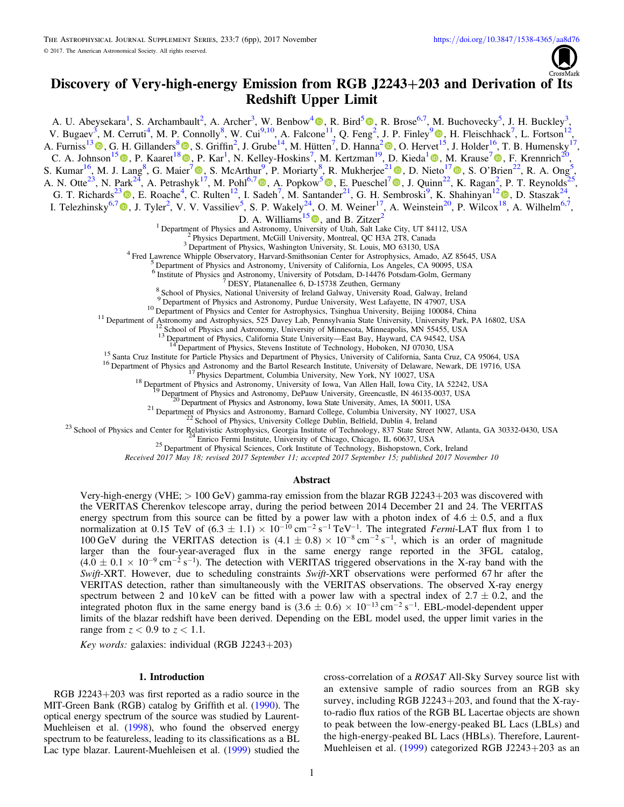# Discovery of Very-high-energy Emission from RGB J2243+203 and Derivation of Its Redshift Upper Limit

A. U. Abeysekara<sup>1</sup>[,](https://orcid.org/0000-0002-4596-8563) S. Archambault<sup>2</sup>, A. Archer<sup>3</sup>, W. Benbow<sup>4</sup> <sup>(1)</sup>, R. Bird<sup>5</sup> <sup>(1)</sup>, R. Brose<sup>6,7</sup>, M. Buchovecky<sup>5</sup>, J. H. Buckley<sup>3</sup>

V. Bugaev<sup>3</sup>, M. Cerruti<sup>4</sup>, M. P. Connolly<sup>8</sup>, W. Cui<sup>9,10</sup>, A. Falcone<sup>11</sup>, Q. Feng<sup>[2](https://orcid.org/0000-0002-4596-8563)</sup>, J. P. Finley<sup>[9](https://orcid.org/0000-0002-8925-1046)</sup><sup>®</sup>[,](https://orcid.org/0000-0002-8925-1046) H. Fleischhack<sup>7</sup>, L. Fortson<sup>12</sup>, A. Furniss<sup>1[3](https://orcid.org/0000-0003-1614-1273)</sup>  $\bullet$ , G. H. Gillanders<sup>[8](https://orcid.org/0000-0001-8763-6252)</sup> $\bullet$ [,](https://orcid.org/0000-0001-8763-6252) S. Griffin<sup>[2](https://orcid.org/0000-0002-8513-5603)</sup>, J. Grube<sup>[1](https://orcid.org/0000-0002-8925-1046)4</sup>, M. Hütten<sup>7</sup>, D. Hanna<sup>2</sup> $\bullet$ , O. Hervet<sup>15</sup>, J. Holder<sup>16</sup>, T. B. Humensky<sup>17</sup>, C. A. Johnson<sup>1[5](https://orcid.org/0000-0002-0641-7320)</sup>  $\circledcirc$ [,](https://orcid.org/0000-0001-7595-0914) P. Kaaret<sup>1[8](https://orcid.org/0000-0001-8763-6252)</sup>  $\circledcirc$ , P. Kar<sup>[1](https://orcid.org/0000-0003-4785-0101)</sup>, N. Kelley-Hoskins<sup>[7](https://orcid.org/0000-0001-7595-0914)</sup>, M. Kertzman<sup>19</sup>, D. Kieda<sup>1</sup> $\circledcirc$ , M. Krause<sup>7</sup> $\circledcirc$ , F. Krennrich<sup>20</sup>,

S. Kumar<sup>16</sup>, M. J. Lang<sup>8</sup>, G. Maier<sup>[7](https://orcid.org/0000-0001-9868-4700)</sup> (D. S. McArthur<sup>9</sup>, P. Moriarty<sup>8</sup>, R. Mukherjee<sup>2[1](https://orcid.org/0000-0002-3223-0754)</sup> (D. D. Nieto<sup>17</sup> (D. S. O'Brien<sup>22</sup>[,](https://orcid.org/0000-0003-3343-0755) R. A. Ong<sup>5</sup>, A. N. Otte<sup>23</sup>, N. Park<sup>24</sup>, A. Petrashyk<sup>[17](https://orcid.org/0000-0001-9868-4700)</sup>, M. Pohl<sup>6,[7](https://orcid.org/0000-0002-0529-1973)</sup>  $\Phi$ , A. Popkow<sup>[5](https://orcid.org/0000-0002-3157-8839)</sup> $\Phi$ [,](https://orcid.org/0000-0002-3157-8839) E. Pueschel<sup>7</sup> $\Phi$ , J. Quinn<sup>[2](https://orcid.org/0000-0003-3343-0755)2</sup>, K. Ragan<sup>2</sup>, P. T. Reynolds<sup>25</sup>, G. T. Richards<sup>2[3](https://orcid.org/0000-0002-1408-807X)</sup>  $\Phi$ [,](https://orcid.org/0000-0001-5128-4160) E. Roache<sup>4</sup>, C. Rulten<sup>1[2](https://orcid.org/0000-0001-5128-4160)</sup>, I. Sadeh<sup>7</sup>, M. Santander<sup>21</sup>, G. H. Sembroski<sup>9</sup>, K. Shahinyan<sup>12</sup>  $\Phi$ , D. Staszak<sup>24</sup>, I. Telezhinsky<sup>6,[7](https://orcid.org/0000-0001-6678-2381)</sup> (b), J. Tyler<sup>2</sup>, V. V. Vassiliev<sup>5</sup>, S. P. Wakely<sup>24</sup>, O. M. Weiner<sup>17</sup>, A. Weinstein<sup>20</sup>, P. Wilcox<sup>[18](https://orcid.org/0000-0001-5128-4160)</sup>, A. Wilhelm<sup>6,7</sup>, D. A. Williams<sup>1[5](https://orcid.org/0000-0003-2740-9714)</sup> $\bullet$ , and B. Zitzer<sup>2</sup> <sup>1</sup> Department of Physics and Astronomy, University of Utah, Salt Lake City, UT 84112, USA<br><sup>2</sup> Physics Department, McGill University, Montreal, QC H3A 2T8, Canada<br><sup>3</sup> Department of Physics, Washington University, St. Loui <sup>6</sup> Institute of Physics and Astronomy, University of Potsdam, D-14476 Potsdam-Golm, Germany<br><sup>7</sup> DESY, Platanenallee 6, D-15738 Zeuthen, Germany<br><sup>8</sup> School of Physics, National University of Ireland Galway, University Road

<sup>10</sup> Department of Physics and Center for Astrophysics, Tsinghua University, Beijing 100084, China<br>
<sup>10</sup> Department of Astrophysics, 525 Davey Lab, Pennsylvania State University, University Park, PA 16802, USA<br>
<sup>12</sup> Schoo

Received 2017 May 18; revised 2017 September 11; accepted 2017 September 15; published 2017 November 10

#### Abstract

Very-high-energy (VHE; > 100 GeV) gamma-ray emission from the blazar RGB J2243+203 was discovered with the VERITAS Cherenkov telescope array, during the period between 2014 December 21 and 24. The VERITAS energy spectrum from this source can be fitted by a power law with a photon index of  $4.6 \pm 0.5$ , and a flux normalization at 0.15 TeV of  $(6.3 \pm 1.1) \times 10^{-10}$  cm<sup>-2</sup> s<sup>-1</sup> TeV<sup>-1</sup>. The integrated Fermi-LAT flux from 1 to 100 GeV during the VERITAS detection is  $(4.1 \pm 0.8) \times 10^{-8}$  cm<sup>-2</sup> s<sup>-1</sup>, which is an order of magnitude larger than the four-year-averaged flux in the same energy range reported in the 3FGL catalog,  $(4.0 \pm 0.1 \times 10^{-9} \text{ cm}^{-2} \text{ s}^{-1})$ . The detection with VERITAS triggered observations in the X-ray band with the Swift-XRT. However, due to scheduling constraints Swift-XRT observations were performed 67 hr after the VERITAS detection, rather than simultaneously with the VERITAS observations. The observed X-ray energy spectrum between 2 and 10 keV can be fitted with a power law with a spectral index of  $2.7 \pm 0.2$ , and the integrated photon flux in the same energy band is  $(3.6 \pm 0.6) \times 10^{-13}$  cm<sup>-2</sup> s<sup>-1</sup>. EBL-model-dependent upper limits of the blazar redshift have been derived. Depending on the EBL model used, the upper limit varies in the range from  $z < 0.9$  to  $z < 1.1$ .

Key words: galaxies: individual (RGB J2243+203)

#### 1. Introduction

RGB J2243+203 was first reported as a radio source in the MIT-Green Bank (RGB) catalog by Griffith et al. ([1990](#page-6-0)). The optical energy spectrum of the source was studied by Laurent-Muehleisen et al. ([1998](#page-6-0)), who found the observed energy spectrum to be featureless, leading to its classifications as a BL Lac type blazar. Laurent-Muehleisen et al. ([1999](#page-6-0)) studied the

cross-correlation of a ROSAT All-Sky Survey source list with an extensive sample of radio sources from an RGB sky survey, including RGB J2243+203, and found that the X-rayto-radio flux ratios of the RGB BL Lacertae objects are shown to peak between the low-energy-peaked BL Lacs (LBLs) and the high-energy-peaked BL Lacs (HBLs). Therefore, Laurent-Muehleisen et al. ([1999](#page-6-0)) categorized RGB J2243+203 as an

,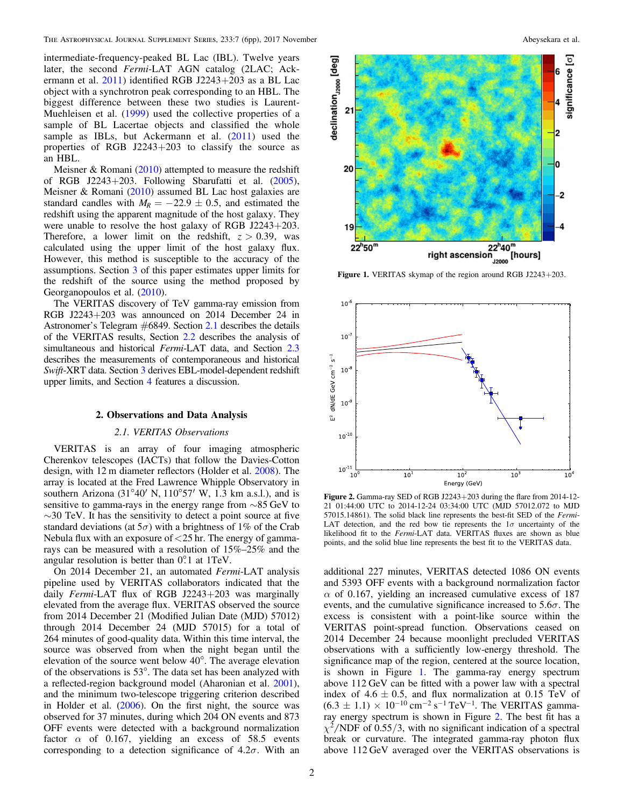<span id="page-2-0"></span>intermediate-frequency-peaked BL Lac (IBL). Twelve years later, the second Fermi-LAT AGN catalog (2LAC; Ackermann et al. [2011](#page-6-0)) identified RGB J2243+203 as a BL Lac object with a synchrotron peak corresponding to an HBL. The biggest difference between these two studies is Laurent-Muehleisen et al. ([1999](#page-6-0)) used the collective properties of a sample of BL Lacertae objects and classified the whole sample as IBLs, but Ackermann et al. ([2011](#page-6-0)) used the properties of RGB J2243+203 to classify the source as an HBL.

Meisner  $&$  Romani ([2010](#page-6-0)) attempted to measure the redshift of RGB J2243+203. Following Sbarufatti et al. ([2005](#page-6-0)), Meisner & Romani ([2010](#page-6-0)) assumed BL Lac host galaxies are standard candles with  $M_R = -22.9 \pm 0.5$ , and estimated the redshift using the apparent magnitude of the host galaxy. They were unable to resolve the host galaxy of RGB J2243+203. Therefore, a lower limit on the redshift,  $z > 0.39$ , was calculated using the upper limit of the host galaxy flux. However, this method is susceptible to the accuracy of the assumptions. Section [3](#page-5-0) of this paper estimates upper limits for the redshift of the source using the method proposed by Georganopoulos et al. ([2010](#page-6-0)).

The VERITAS discovery of TeV gamma-ray emission from RGB J2243+203 was announced on 2014 December 24 in Astronomer's Telegram #6849. Section 2.1 describes the details of the VERITAS results, Section [2.2](#page-3-0) describes the analysis of simultaneous and historical Fermi-LAT data, and Section [2.3](#page-4-0) describes the measurements of contemporaneous and historical Swift-XRT data. Section [3](#page-5-0) derives EBL-model-dependent redshift upper limits, and Section [4](#page-5-0) features a discussion.

#### 2. Observations and Data Analysis

#### 2.1. VERITAS Observations

VERITAS is an array of four imaging atmospheric Cherenkov telescopes (IACTs) that follow the Davies-Cotton design, with 12 m diameter reflectors (Holder et al. [2008](#page-6-0)). The array is located at the Fred Lawrence Whipple Observatory in southern Arizona (31 $\degree$ 40' N, 110 $\degree$ 57' W, 1.3 km a.s.l.), and is sensitive to gamma-rays in the energy range from ∼85 GeV to  $\sim$ 30 TeV. It has the sensitivity to detect a point source at five standard deviations (at  $5\sigma$ ) with a brightness of 1% of the Crab Nebula flux with an exposure of <25 hr. The energy of gammarays can be measured with a resolution of 15%–25% and the angular resolution is better than  $0^\circ$ . 1 at 1TeV.

On 2014 December 21, an automated Fermi-LAT analysis pipeline used by VERITAS collaborators indicated that the daily Fermi-LAT flux of RGB J2243+203 was marginally elevated from the average flux. VERITAS observed the source from 2014 December 21 (Modified Julian Date (MJD) 57012) through 2014 December 24 (MJD 57015) for a total of 264 minutes of good-quality data. Within this time interval, the source was observed from when the night began until the elevation of the source went below 40°. The average elevation of the observations is 53°. The data set has been analyzed with a reflected-region background model (Aharonian et al. [2001](#page-6-0)), and the minimum two-telescope triggering criterion described in Holder et al. ([2006](#page-6-0)). On the first night, the source was observed for 37 minutes, during which 204 ON events and 873 OFF events were detected with a background normalization factor  $\alpha$  of 0.167, yielding an excess of 58.5 events corresponding to a detection significance of  $4.2\sigma$ . With an

2



Figure 1. VERITAS skymap of the region around RGB J2243+203.



Figure 2. Gamma-ray SED of RGB J2243+203 during the flare from 2014-12- 21 01:44:00 UTC to 2014-12-24 03:34:00 UTC (MJD 57012.072 to MJD 57015.14861). The solid black line represents the best-fit SED of the Fermi-LAT detection, and the red bow tie represents the  $1\sigma$  uncertainty of the likelihood fit to the Fermi-LAT data. VERITAS fluxes are shown as blue points, and the solid blue line represents the best fit to the VERITAS data.

additional 227 minutes, VERITAS detected 1086 ON events and 5393 OFF events with a background normalization factor  $\alpha$  of 0.167, yielding an increased cumulative excess of 187 events, and the cumulative significance increased to  $5.6\sigma$ . The excess is consistent with a point-like source within the VERITAS point-spread function. Observations ceased on 2014 December 24 because moonlight precluded VERITAS observations with a sufficiently low-energy threshold. The significance map of the region, centered at the source location, is shown in Figure 1. The gamma-ray energy spectrum above 112 GeV can be fitted with a power law with a spectral index of  $4.6 \pm 0.5$ , and flux normalization at  $0.15$  TeV of  $(6.3 \pm 1.1) \times 10^{-10}$  cm<sup>-2</sup> s<sup>-1</sup> TeV<sup>-1</sup>. The VERITAS gammaray energy spectrum is shown in Figure 2. The best fit has a  $\chi^2/NDF$  of 0.55/3, with no significant indication of a spectral break or curvature. The integrated gamma-ray photon flux above 112 GeV averaged over the VERITAS observations is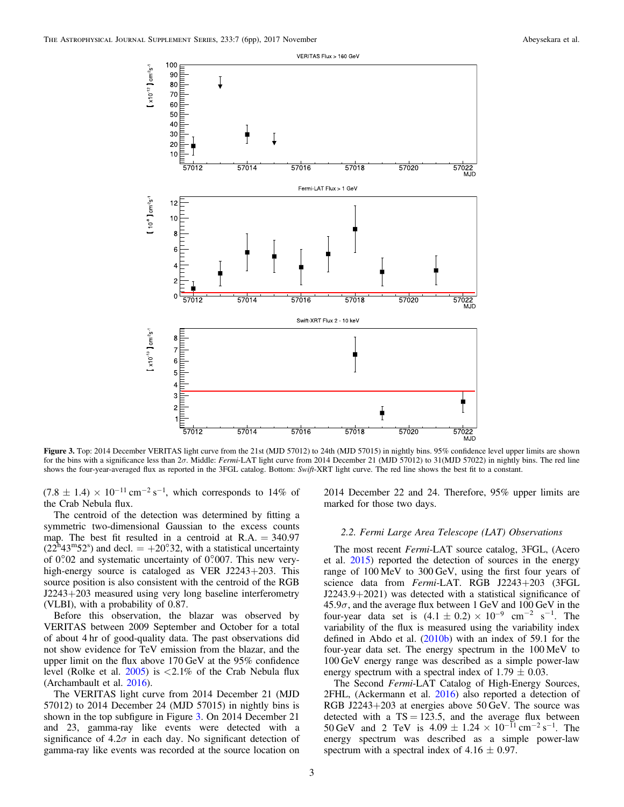<span id="page-3-0"></span>

Figure 3. Top: 2014 December VERITAS light curve from the 21st (MJD 57012) to 24th (MJD 57015) in nightly bins. 95% confidence level upper limits are shown for the bins with a significance less than 2σ. Middle: Fermi-LAT light curve from 2014 December 21 (MJD 57012) to 31(MJD 57022) in nightly bins. The red line shows the four-year-averaged flux as reported in the 3FGL catalog. Bottom: Swift-XRT light curve. The red line shows the best fit to a constant.

 $(7.8 \pm 1.4) \times 10^{-11}$  cm<sup>-2</sup> s<sup>-1</sup>, which corresponds to 14% of the Crab Nebula flux.

The centroid of the detection was determined by fitting a symmetric two-dimensional Gaussian to the excess counts map. The best fit resulted in a centroid at  $R.A. = 340.97$  $(22^{\text{h}}43^{\text{m}}52^{\text{s}})$  and decl.  $= +20^{\circ}32$ , with a statistical uncertainty of  $0^\circ 0.02$  and systematic uncertainty of  $0^\circ 0.007$ . This new veryhigh-energy source is cataloged as VER J2243+203. This source position is also consistent with the centroid of the RGB J2243+203 measured using very long baseline interferometry (VLBI), with a probability of 0.87.

Before this observation, the blazar was observed by VERITAS between 2009 September and October for a total of about 4 hr of good-quality data. The past observations did not show evidence for TeV emission from the blazar, and the upper limit on the flux above 170 GeV at the 95% confidence level (Rolke et al.  $2005$ ) is  $\lt 2.1\%$  of the Crab Nebula flux (Archambault et al. [2016](#page-6-0)).

The VERITAS light curve from 2014 December 21 (MJD 57012) to 2014 December 24 (MJD 57015) in nightly bins is shown in the top subfigure in Figure 3. On 2014 December 21 and 23, gamma-ray like events were detected with a significance of  $4.2\sigma$  in each day. No significant detection of gamma-ray like events was recorded at the source location on

2014 December 22 and 24. Therefore, 95% upper limits are marked for those two days.

#### 2.2. Fermi Large Area Telescope (LAT) Observations

The most recent Fermi-LAT source catalog, 3FGL, (Acero et al. [2015](#page-6-0)) reported the detection of sources in the energy range of 100 MeV to 300 GeV, using the first four years of science data from Fermi-LAT. RGB J2243+203 (3FGL J2243.9+2021) was detected with a statistical significance of  $45.9\sigma$ , and the average flux between 1 GeV and  $100 \text{ GeV}$  in the four-year data set is  $(4.1 \pm 0.2) \times 10^{-9}$  cm<sup>-2</sup> s<sup>-1</sup>. The variability of the flux is measured using the variability index defined in Abdo et al. ([2010b](#page-6-0)) with an index of 59.1 for the four-year data set. The energy spectrum in the 100 MeV to 100 GeV energy range was described as a simple power-law energy spectrum with a spectral index of 1.79  $\pm$  0.03.

The Second Fermi-LAT Catalog of High-Energy Sources, 2FHL, (Ackermann et al. [2016](#page-6-0)) also reported a detection of RGB J2243+203 at energies above 50 GeV. The source was detected with a  $TS = 123.5$ , and the average flux between 50 GeV and 2 TeV is  $4.09 \pm 1.24 \times 10^{-11}$  cm<sup>-2</sup> s<sup>-1</sup>. The energy spectrum was described as a simple power-law spectrum with a spectral index of  $4.16 \pm 0.97$ .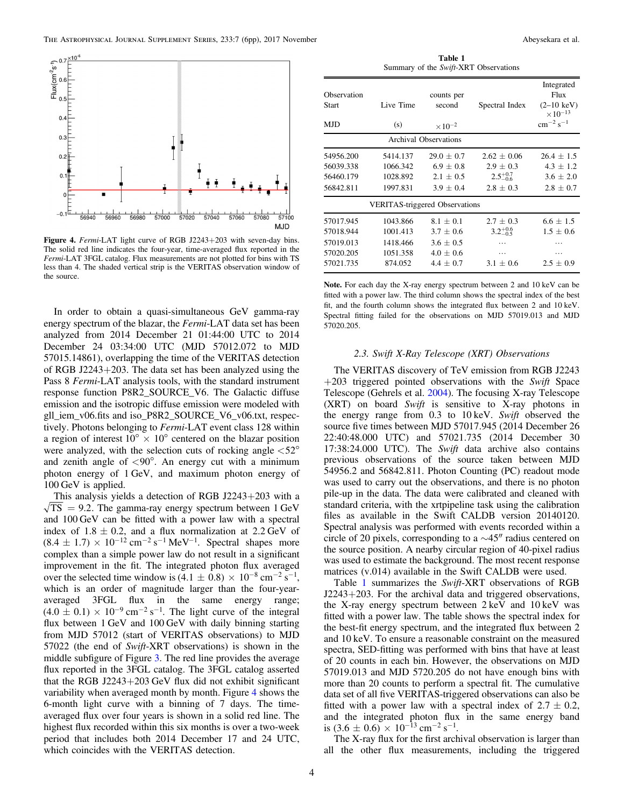<span id="page-4-0"></span>

Figure 4. Fermi-LAT light curve of RGB J2243+203 with seven-day bins. The solid red line indicates the four-year, time-averaged flux reported in the Fermi-LAT 3FGL catalog. Flux measurements are not plotted for bins with TS less than 4. The shaded vertical strip is the VERITAS observation window of the source.

In order to obtain a quasi-simultaneous GeV gamma-ray energy spectrum of the blazar, the Fermi-LAT data set has been analyzed from 2014 December 21 01:44:00 UTC to 2014 December 24 03:34:00 UTC (MJD 57012.072 to MJD 57015.14861), overlapping the time of the VERITAS detection of RGB J2243+203. The data set has been analyzed using the Pass 8 Fermi-LAT analysis tools, with the standard instrument response function P8R2\_SOURCE\_V6. The Galactic diffuse emission and the isotropic diffuse emission were modeled with gll iem\_v06.fits and iso\_P8R2\_SOURCE\_V6\_v06.txt, respectively. Photons belonging to Fermi-LAT event class 128 within a region of interest  $10^{\circ} \times 10^{\circ}$  centered on the blazar position were analyzed, with the selection cuts of rocking angle  $\langle 52^{\circ}$ and zenith angle of  $\langle 90^\circ$ . An energy cut with a minimum photon energy of 1 GeV, and maximum photon energy of 100 GeV is applied.

This analysis yields a detection of RGB J2243+203 with a  $\sqrt{TS}$  = 9.2. The gamma-ray energy spectrum between 1 GeV and 100 GeV can be fitted with a power law with a spectral index of  $1.8 \pm 0.2$ , and a flux normalization at  $2.2 \text{ GeV}$  of  $(8.4 \pm 1.7) \times 10^{-12}$  cm<sup>-2</sup> s<sup>-1</sup> MeV<sup>-1</sup>. Spectral shapes more complex than a simple power law do not result in a significant improvement in the fit. The integrated photon flux averaged over the selected time window is  $(4.1 \pm 0.8) \times 10^{-8}$  cm<sup>-2</sup> s<sup>-1</sup>, which is an order of magnitude larger than the four-yearaveraged 3FGL flux in the same energy range;  $(4.0 \pm 0.1) \times 10^{-9}$  cm<sup>-2</sup> s<sup>-1</sup>. The light curve of the integral flux between 1 GeV and 100 GeV with daily binning starting from MJD 57012 (start of VERITAS observations) to MJD 57022 (the end of Swift-XRT observations) is shown in the middle subfigure of Figure [3.](#page-3-0) The red line provides the average flux reported in the 3FGL catalog. The 3FGL catalog asserted that the RGB J2243+203 GeV flux did not exhibit significant variability when averaged month by month. Figure 4 shows the 6-month light curve with a binning of 7 days. The timeaveraged flux over four years is shown in a solid red line. The highest flux recorded within this six months is over a two-week period that includes both 2014 December 17 and 24 UTC, which coincides with the VERITAS detection.

Table 1 Summary of the Swift-XRT Observations

| Observation<br>Start<br><b>MJD</b>                            | Live Time<br>(s)                                        | counts per<br>second<br>$\times 10^{-2}$                                      | Spectral Index                                                       | Integrated<br>Flux<br>$(2-10 \text{ keV})$<br>$\times 10^{-13}$<br>$cm^{-2} s^{-1}$ |
|---------------------------------------------------------------|---------------------------------------------------------|-------------------------------------------------------------------------------|----------------------------------------------------------------------|-------------------------------------------------------------------------------------|
| <b>Archival Observations</b>                                  |                                                         |                                                                               |                                                                      |                                                                                     |
| 54956.200<br>56039.338<br>56460.179<br>56842.811              | 5414.137<br>1066.342<br>1028.892<br>1997.831            | $29.0 + 0.7$<br>$6.9 + 0.8$<br>$2.1 + 0.5$<br>$3.9 + 0.4$                     | $2.62 + 0.06$<br>$2.9 \pm 0.3$<br>$2.5^{+0.7}_{-0.6}$<br>$2.8 + 0.3$ | $26.4 + 1.5$<br>$4.3 \pm 1.2$<br>$3.6 \pm 2.0$<br>$2.8 + 0.7$                       |
| <b>VERITAS-triggered Observations</b>                         |                                                         |                                                                               |                                                                      |                                                                                     |
| 57017.945<br>57018.944<br>57019.013<br>57020.205<br>57021.735 | 1043.866<br>1001.413<br>1418.466<br>1051.358<br>874.052 | $8.1 + 0.1$<br>$3.7 \pm 0.6$<br>$3.6 \pm 0.5$<br>$4.0 \pm 0.6$<br>$4.4 + 0.7$ | $2.7 \pm 0.3$<br>$3.2^{+0.6}_{-0.5}$<br>.<br>.<br>$3.1 + 0.6$        | $6.6 \pm 1.5$<br>$1.5 \pm 0.6$<br>.<br>.<br>$2.5 \pm 0.9$                           |

Note. For each day the X-ray energy spectrum between 2 and 10 keV can be fitted with a power law. The third column shows the spectral index of the best fit, and the fourth column shows the integrated flux between 2 and 10 keV. Spectral fitting failed for the observations on MJD 57019.013 and MJD 57020.205.

#### 2.3. Swift X-Ray Telescope (XRT) Observations

The VERITAS discovery of TeV emission from RGB J2243  $+203$  triggered pointed observations with the Swift Space Telescope (Gehrels et al. [2004](#page-6-0)). The focusing X-ray Telescope (XRT) on board Swift is sensitive to X-ray photons in the energy range from 0.3 to 10 keV. Swift observed the source five times between MJD 57017.945 (2014 December 26 22:40:48.000 UTC) and 57021.735 (2014 December 30 17:38:24.000 UTC). The Swift data archive also contains previous observations of the source taken between MJD 54956.2 and 56842.811. Photon Counting (PC) readout mode was used to carry out the observations, and there is no photon pile-up in the data. The data were calibrated and cleaned with standard criteria, with the xrtpipeline task using the calibration files as available in the Swift CALDB version 20140120. Spectral analysis was performed with events recorded within a circle of 20 pixels, corresponding to a ∼45″ radius centered on the source position. A nearby circular region of 40-pixel radius was used to estimate the background. The most recent response matrices (v.014) available in the Swift CALDB were used.

Table 1 summarizes the Swift-XRT observations of RGB J2243+203. For the archival data and triggered observations, the X-ray energy spectrum between 2 keV and 10 keV was fitted with a power law. The table shows the spectral index for the best-fit energy spectrum, and the integrated flux between 2 and 10 keV. To ensure a reasonable constraint on the measured spectra, SED-fitting was performed with bins that have at least of 20 counts in each bin. However, the observations on MJD 57019.013 and MJD 5720.205 do not have enough bins with more than 20 counts to perform a spectral fit. The cumulative data set of all five VERITAS-triggered observations can also be fitted with a power law with a spectral index of  $2.7 \pm 0.2$ , and the integrated photon flux in the same energy band is  $(3.6 \pm 0.6) \times 10^{-13}$  cm<sup>-2</sup> s<sup>-1</sup>.

The X-ray flux for the first archival observation is larger than all the other flux measurements, including the triggered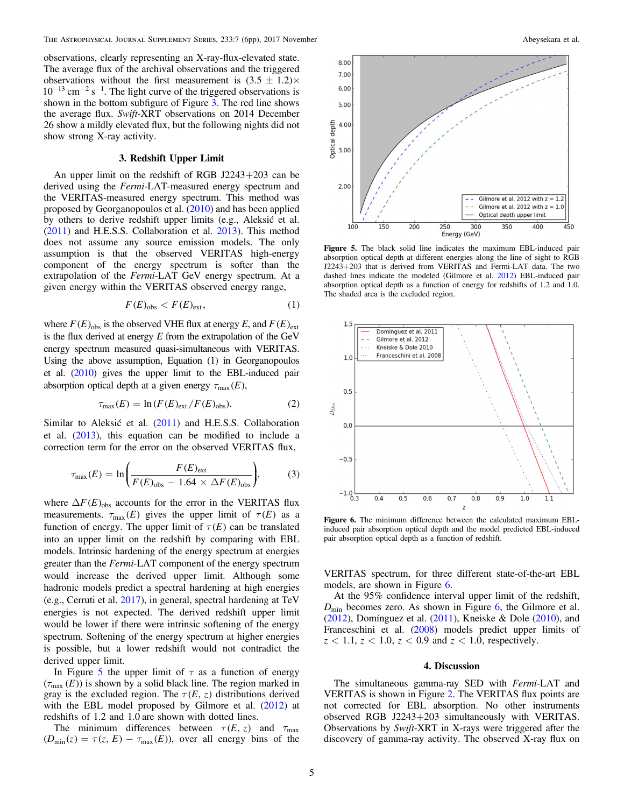<span id="page-5-0"></span>observations, clearly representing an X-ray-flux-elevated state. The average flux of the archival observations and the triggered observations without the first measurement is  $(3.5 \pm 1.2) \times 10^{-13}$  cm<sup>-2</sup> s<sup>-1</sup>. The light curve of the triggered observations is shown in the bottom subfigure of Figure [3.](#page-3-0) The red line shows the average flux. Swift-XRT observations on 2014 December 26 show a mildly elevated flux, but the following nights did not show strong X-ray activity.

#### 3. Redshift Upper Limit

An upper limit on the redshift of RGB J2243+203 can be derived using the Fermi-LAT-measured energy spectrum and the VERITAS-measured energy spectrum. This method was proposed by Georganopoulos et al. ([2010](#page-6-0)) and has been applied by others to derive redshift upper limits (e.g., Aleksić et al. ([2011](#page-6-0)) and H.E.S.S. Collaboration et al. [2013](#page-6-0)). This method does not assume any source emission models. The only assumption is that the observed VERITAS high-energy component of the energy spectrum is softer than the extrapolation of the Fermi-LAT GeV energy spectrum. At a given energy within the VERITAS observed energy range,

$$
F(E)_{\text{obs}} < F(E)_{\text{ext}},\tag{1}
$$

where  $F(E)_{obs}$  is the observed VHE flux at energy E, and  $F(E)_{ext}$ is the flux derived at energy  $E$  from the extrapolation of the GeV energy spectrum measured quasi-simultaneous with VERITAS. Using the above assumption, Equation (1) in Georganopoulos et al. ([2010](#page-6-0)) gives the upper limit to the EBL-induced pair absorption optical depth at a given energy  $\tau_{\text{max}}(E)$ ,

$$
\tau_{\text{max}}(E) = \ln \left( F(E)_{\text{ext}} / F(E)_{\text{obs}} \right). \tag{2}
$$

Similar to Aleksić et al. ([2011](#page-6-0)) and H.E.S.S. Collaboration et al. ([2013](#page-6-0)), this equation can be modified to include a correction term for the error on the observed VERITAS flux,

$$
\tau_{\text{max}}(E) = \ln\bigg(\frac{F(E)_{\text{ext}}}{F(E)_{\text{obs}} - 1.64 \times \Delta F(E)_{\text{obs}}}\bigg),\tag{3}
$$

where  $\Delta F(E)_{\text{obs}}$  accounts for the error in the VERITAS flux measurements.  $\tau_{\text{max}}(E)$  gives the upper limit of  $\tau(E)$  as a function of energy. The upper limit of  $\tau(E)$  can be translated into an upper limit on the redshift by comparing with EBL models. Intrinsic hardening of the energy spectrum at energies greater than the Fermi-LAT component of the energy spectrum would increase the derived upper limit. Although some hadronic models predict a spectral hardening at high energies (e.g., Cerruti et al. [2017](#page-6-0)), in general, spectral hardening at TeV energies is not expected. The derived redshift upper limit would be lower if there were intrinsic softening of the energy spectrum. Softening of the energy spectrum at higher energies is possible, but a lower redshift would not contradict the derived upper limit.

In Figure 5 the upper limit of  $\tau$  as a function of energy  $(\tau_{\text{max}}(E))$  is shown by a solid black line. The region marked in gray is the excluded region. The  $\tau(E, z)$  distributions derived with the EBL model proposed by Gilmore et al. ([2012](#page-6-0)) at redshifts of 1.2 and 1.0 are shown with dotted lines.

The minimum differences between  $\tau(E, z)$  and  $\tau_{\text{max}}$  $(D_{\text{min}}(z) = \tau(z, E) - \tau_{\text{max}}(E)$ , over all energy bins of the



Figure 5. The black solid line indicates the maximum EBL-induced pair absorption optical depth at different energies along the line of sight to RGB J2243+203 that is derived from VERITAS and Fermi-LAT data. The two dashed lines indicate the modeled (Gilmore et al. [2012](#page-6-0)) EBL-induced pair absorption optical depth as a function of energy for redshifts of 1.2 and 1.0. The shaded area is the excluded region.



Figure 6. The minimum difference between the calculated maximum EBLinduced pair absorption optical depth and the model predicted EBL-induced pair absorption optical depth as a function of redshift.

VERITAS spectrum, for three different state-of-the-art EBL models, are shown in Figure 6.

At the 95% confidence interval upper limit of the redshift,  $D_{\text{min}}$  becomes zero. As shown in Figure 6, the Gilmore et al. ([2012](#page-6-0)), Domínguez et al. ([2011](#page-6-0)), Kneiske & Dole ([2010](#page-6-0)), and Franceschini et al. ([2008](#page-6-0)) models predict upper limits of *z* < 1.1, *z* < 1.0, *z* < 0.9 and *z* < 1.0, respectively.

#### 4. Discussion

The simultaneous gamma-ray SED with Fermi-LAT and VERITAS is shown in Figure [2](#page-2-0). The VERITAS flux points are not corrected for EBL absorption. No other instruments observed RGB J2243+203 simultaneously with VERITAS. Observations by Swift-XRT in X-rays were triggered after the discovery of gamma-ray activity. The observed X-ray flux on